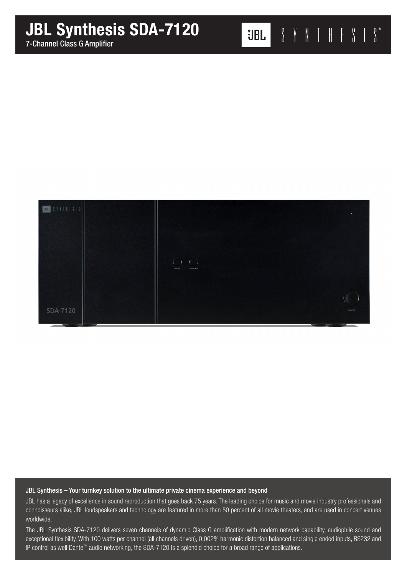

## JBL Synthesis – Your turnkey solution to the ultimate private cinema experience and beyond

JBL has a legacy of excellence in sound reproduction that goes back 75 years. The leading choice for music and movie industry professionals and connoisseurs alike, JBL loudspeakers and technology are featured in more than 50 percent of all movie theaters, and are used in concert venues worldwide.

The JBL Synthesis SDA-7120 delivers seven channels of dynamic Class G amplification with modern network capability, audiophile sound and exceptional flexibility. With 100 watts per channel (all channels driven), 0.002% harmonic distortion balanced and single ended inputs, RS232 and IP control as well Dante™ audio networking, the SDA-7120 is a splendid choice for a broad range of applications.